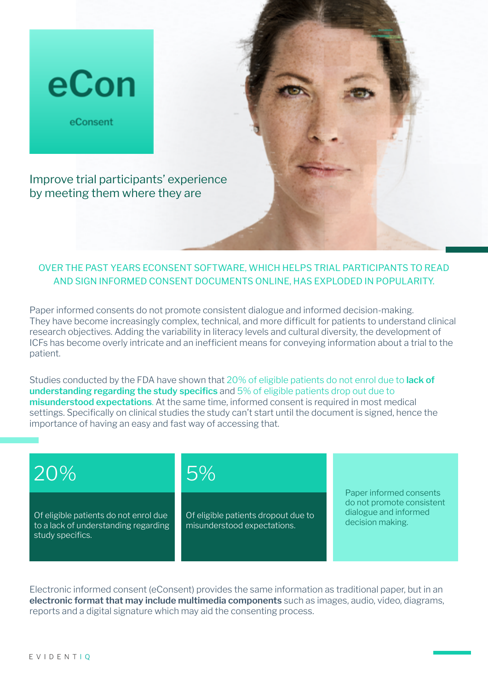

### OVER THE PAST YEARS ECONSENT SOFTWARE, WHICH HELPS TRIAL PARTICIPANTS TO READ AND SIGN INFORMED CONSENT DOCUMENTS ONLINE, HAS EXPLODED IN POPULARITY.

Paper informed consents do not promote consistent dialogue and informed decision-making. They have become increasingly complex, technical, and more difficult for patients to understand clinical research objectives. Adding the variability in literacy levels and cultural diversity, the development of ICFs has become overly intricate and an inefficient means for conveying information about a trial to the patient.

Studies conducted by the FDA have shown that 20% of eligible patients do not enrol due to **lack of understanding regarding the study specifics** and 5% of eligible patients drop out due to **misunderstood expectations**. At the same time, informed consent is required in most medical settings. Specifically on clinical studies the study can't start until the document is signed, hence the importance of having an easy and fast way of accessing that.

# 20%

Of eligible patients do not enrol due to a lack of understanding regarding study specifics.

## 5%

Of eligible patients dropout due to misunderstood expectations.

Paper informed consents do not promote consistent dialogue and informed decision making.

Electronic informed consent (eConsent) provides the same information as traditional paper, but in an **electronic format that may include multimedia components** such as images, audio, video, diagrams, reports and a digital signature which may aid the consenting process.